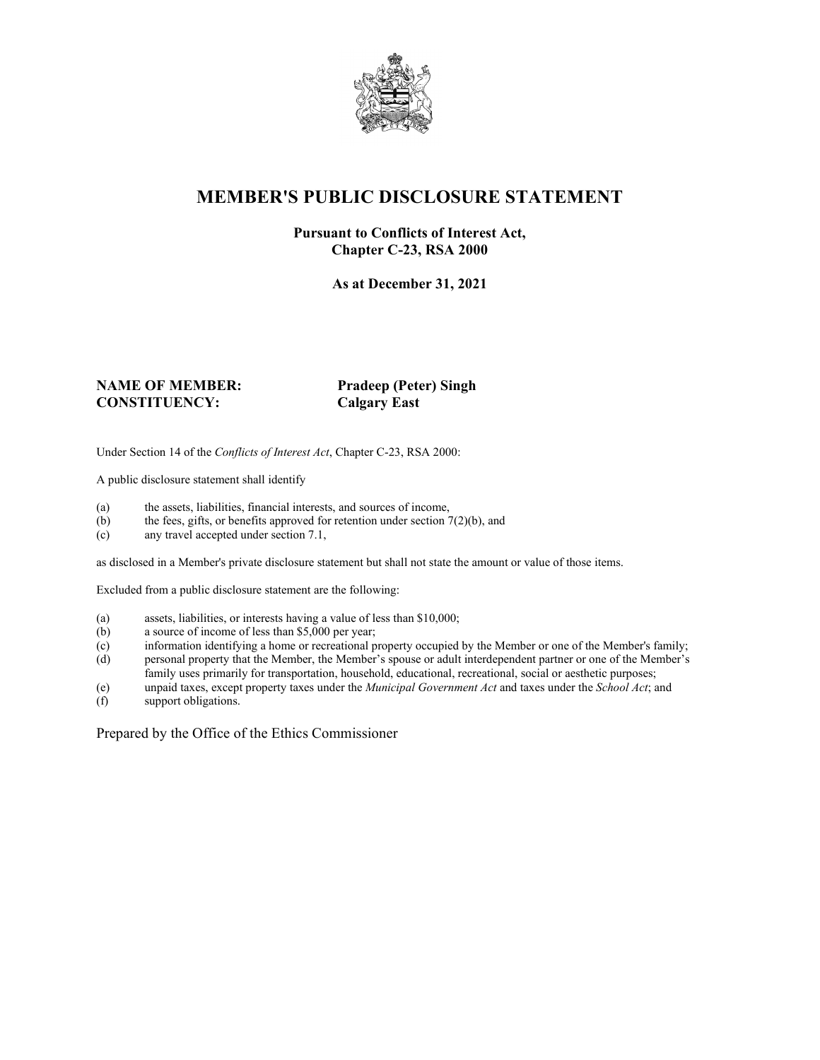

# **MEMBER'S PUBLIC DISCLOSURE STATEMENT**

#### **Pursuant to Conflicts of Interest Act, Chapter C-23, RSA 2000**

**As at December 31, 2021**

#### **NAME OF MEMBER: Pradeep (Peter) Singh CONSTITUENCY:**

Under Section 14 of the *Conflicts of Interest Act*, Chapter C-23, RSA 2000:

A public disclosure statement shall identify

- (a) the assets, liabilities, financial interests, and sources of income,  $(b)$  the fees, gifts, or benefits approved for retention under section 7
- the fees, gifts, or benefits approved for retention under section  $7(2)(b)$ , and
- (c) any travel accepted under section 7.1,

as disclosed in a Member's private disclosure statement but shall not state the amount or value of those items.

Excluded from a public disclosure statement are the following:

- (a) assets, liabilities, or interests having a value of less than \$10,000;<br>(b) a source of income of less than \$5,000 per year;
- a source of income of less than  $$5,000$  per year;
- (c) information identifying a home or recreational property occupied by the Member or one of the Member's family;
- (d) personal property that the Member, the Member's spouse or adult interdependent partner or one of the Member's family uses primarily for transportation, household, educational, recreational, social or aesthetic purposes;
- (e) unpaid taxes, except property taxes under the *Municipal Government Act* and taxes under the *School Act*; and
- (f) support obligations.

Prepared by the Office of the Ethics Commissioner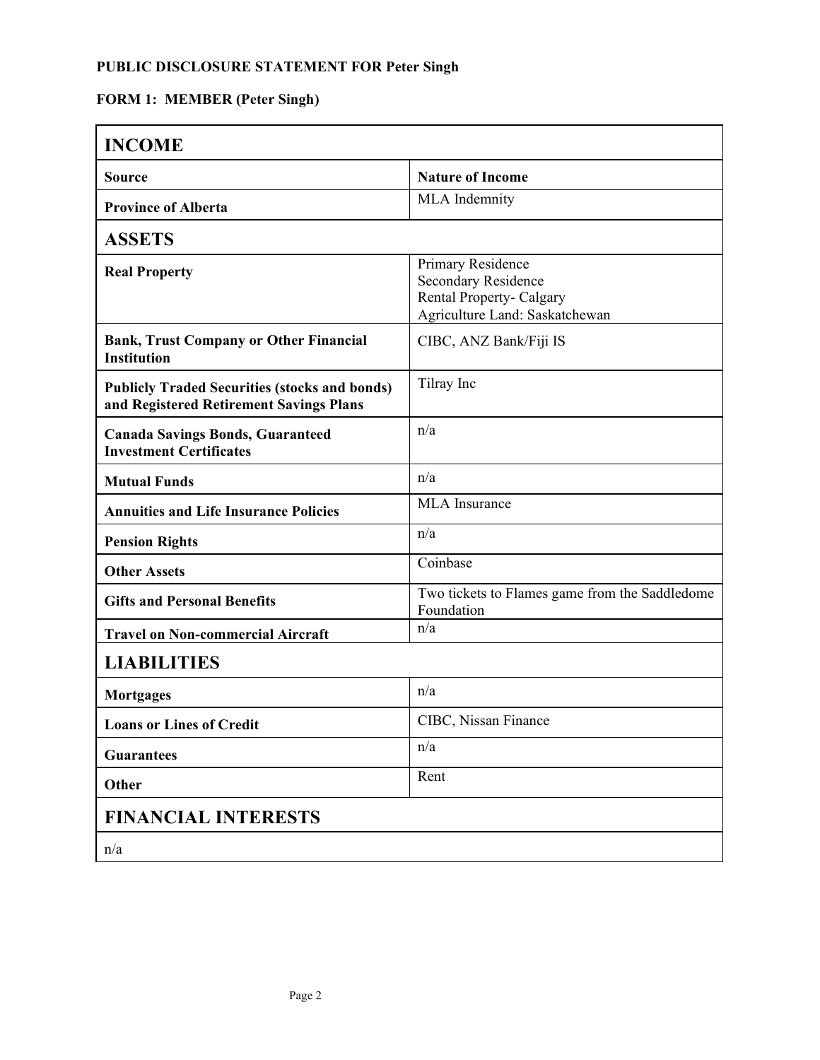## **PUBLIC DISCLOSURE STATEMENT FOR Peter Singh**

# **FORM 1: MEMBER (Peter Singh)**

| <b>INCOME</b>                                                                                   |                                                                                                                      |
|-------------------------------------------------------------------------------------------------|----------------------------------------------------------------------------------------------------------------------|
| <b>Source</b>                                                                                   | <b>Nature of Income</b>                                                                                              |
| <b>Province of Alberta</b>                                                                      | <b>MLA</b> Indemnity                                                                                                 |
| <b>ASSETS</b>                                                                                   |                                                                                                                      |
| <b>Real Property</b>                                                                            | Primary Residence<br><b>Secondary Residence</b><br><b>Rental Property- Calgary</b><br>Agriculture Land: Saskatchewan |
| <b>Bank, Trust Company or Other Financial</b><br><b>Institution</b>                             | CIBC, ANZ Bank/Fiji IS                                                                                               |
| <b>Publicly Traded Securities (stocks and bonds)</b><br>and Registered Retirement Savings Plans | Tilray Inc                                                                                                           |
| <b>Canada Savings Bonds, Guaranteed</b><br><b>Investment Certificates</b>                       | n/a                                                                                                                  |
| <b>Mutual Funds</b>                                                                             | n/a                                                                                                                  |
| <b>Annuities and Life Insurance Policies</b>                                                    | <b>MLA</b> Insurance                                                                                                 |
| <b>Pension Rights</b>                                                                           | n/a                                                                                                                  |
| <b>Other Assets</b>                                                                             | Coinbase                                                                                                             |
| <b>Gifts and Personal Benefits</b>                                                              | Two tickets to Flames game from the Saddledome<br>Foundation                                                         |
| <b>Travel on Non-commercial Aircraft</b>                                                        | n/a                                                                                                                  |
| <b>LIABILITIES</b>                                                                              |                                                                                                                      |
| <b>Mortgages</b>                                                                                | n/a                                                                                                                  |
| <b>Loans or Lines of Credit</b>                                                                 | CIBC, Nissan Finance                                                                                                 |
| <b>Guarantees</b>                                                                               | n/a                                                                                                                  |
| Other                                                                                           | Rent                                                                                                                 |
| <b>FINANCIAL INTERESTS</b>                                                                      |                                                                                                                      |
| n/a                                                                                             |                                                                                                                      |